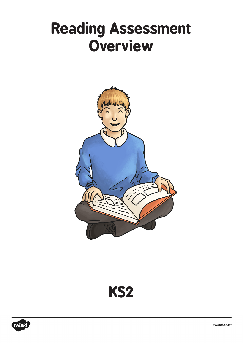# **Reading Assessment Overview**





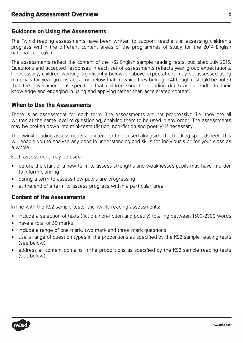## **Guidance on Using the Assessments**

The Twinkl reading assessments have been written to support teachers in assessing children's progress within the different content areas of the programmes of study for the 2014 English national curriculum.

The assessments reflect the content of the KS2 English sample reading tests, published July 2015. Questions and accepted responses in each set of assessments reflects year group expectations. If necessary, children working significantly below or above expectations may be assessed using materials for year groups above or below that to which they belong. (Although it should be noted that the government has specified that children should be adding depth and breadth to their knowledge and engaging in using and applying rather than accelerated content).

## **When to Use the Assessments**

There is an assessment for each term. The assessments are not progressive, i.e. they are all written at the same level of questioning, enabling them to be used in any order. The assessments may be broken down into mini-tests (fiction, non-fiction and poetry) if necessary.

The Twinkl reading assessments are intended to be used alongside the tracking spreadsheet. This will enable you to analyse any gaps in understanding and skills for individuals or for your class as a whole.

Each assessment may be used:

- before the start of a new term to assess strengths and weaknesses pupils may have in order to inform planning
- during a term to assess how pupils are progressing
- at the end of a term to assess progress within a particular area

### **Content of the Assessments**

In line with the KS2 sample tests, the Twinkl reading assessments:

- include a selection of texts (fiction, non-fiction and poetry) totalling between 1500-2300 words
- have a total of 50 marks
- include a range of one mark, two mark and three mark questions
- use a range of question types in the proportions as specified by the KS2 sample reading tests (see below)
- address all content domains in the proportions as specified by the KS2 sample reading tests (see below)

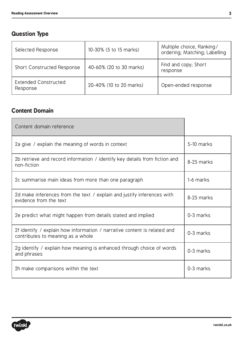## **Question Type**

| Selected Response                       | 10-30% (5 to 15 marks)  | Multiple choice, Ranking/<br>ordering; Matching; Labelling |
|-----------------------------------------|-------------------------|------------------------------------------------------------|
| <b>Short Constructed Response</b>       | 40-60% (20 to 30 marks) | Find and copy; Short<br>response                           |
| <b>Extended Constructed</b><br>Response | 20-40% (10 to 20 marks) | Open-ended response                                        |

## **Content Domain**

| Content domain reference                                                                                      |            |
|---------------------------------------------------------------------------------------------------------------|------------|
| 2a give / explain the meaning of words in context                                                             | 5-10 marks |
| 2b retrieve and record information / identify key details from fiction and<br>non-fiction                     | 8-25 marks |
| 2c summarise main ideas from more than one paragraph                                                          | 1-6 marks  |
| 2d make inferences from the text / explain and justify inferences with<br>evidence from the text              | 8-25 marks |
| 2e predict what might happen from details stated and implied                                                  | 0-3 marks  |
| 2f identify / explain how information / narrative content is related and<br>contributes to meaning as a whole | 0-3 marks  |
| 2g identify / explain how meaning is enhanced through choice of words<br>and phrases                          | 0-3 marks  |
| 2h make comparisons within the text                                                                           | 0-3 marks  |